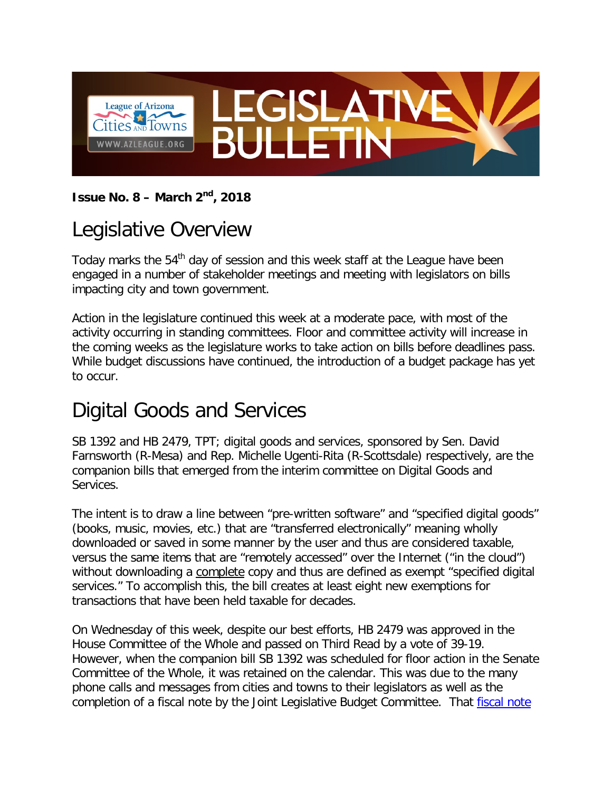

#### **Issue No. 8 – March 2nd , 2018**

# Legislative Overview

Today marks the 54<sup>th</sup> day of session and this week staff at the League have been engaged in a number of stakeholder meetings and meeting with legislators on bills impacting city and town government.

Action in the legislature continued this week at a moderate pace, with most of the activity occurring in standing committees. Floor and committee activity will increase in the coming weeks as the legislature works to take action on bills before deadlines pass. While budget discussions have continued, the introduction of a budget package has yet to occur.

## Digital Goods and Services

SB 1392 and HB 2479, TPT; digital goods and services, sponsored by Sen. David Farnsworth (R-Mesa) and Rep. Michelle Ugenti-Rita (R-Scottsdale) respectively, are the companion bills that emerged from the interim committee on Digital Goods and Services.

The intent is to draw a line between "pre-written software" and "specified digital goods" (books, music, movies, etc.) that are "transferred electronically" meaning wholly downloaded or saved in some manner by the user and thus are considered taxable, versus the same items that are "remotely accessed" over the Internet ("in the cloud") without downloading a complete copy and thus are defined as exempt "specified digital services." To accomplish this, the bill creates at least eight new exemptions for transactions that have been held taxable for decades.

On Wednesday of this week, despite our best efforts, HB 2479 was approved in the House Committee of the Whole and passed on Third Read by a vote of 39-19. However, when the companion bill SB 1392 was scheduled for floor action in the Senate Committee of the Whole, it was retained on the calendar. This was due to the many phone calls and messages from cities and towns to their legislators as well as the completion of a [fiscal note](https://apps.azleg.gov/BillStatus/GetDocumentPdf/459446) by the Joint Legislative Budget Committee. That *fiscal note*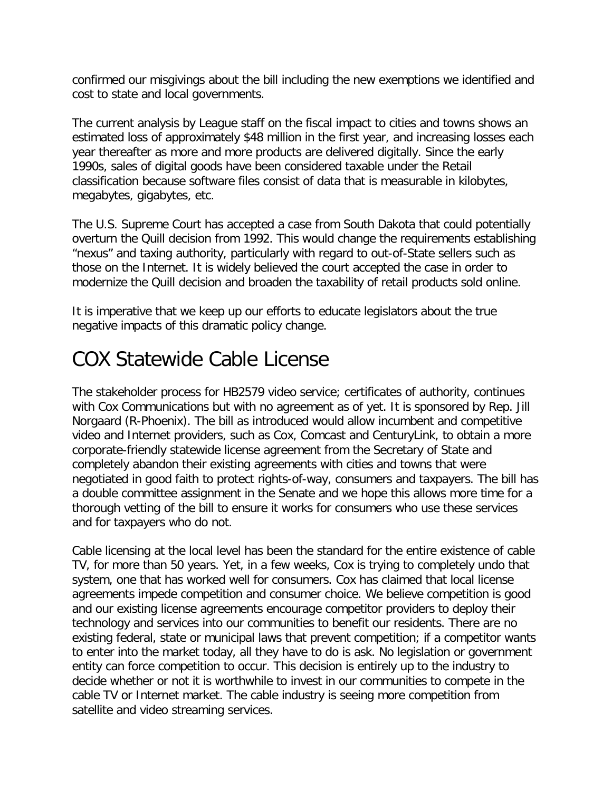confirmed our misgivings about the bill including the new exemptions we identified and cost to state and local governments.

The current analysis by League staff on the fiscal impact to cities and towns shows an estimated loss of approximately \$48 million in the first year, and increasing losses each year thereafter as more and more products are delivered digitally. Since the early 1990s, sales of digital goods have been considered taxable under the Retail classification because software files consist of data that is measurable in kilobytes, megabytes, gigabytes, etc.

The U.S. Supreme Court has accepted a case from South Dakota that could potentially overturn the Quill decision from 1992. This would change the requirements establishing "nexus" and taxing authority, particularly with regard to out-of-State sellers such as those on the Internet. It is widely believed the court accepted the case in order to modernize the Quill decision and broaden the taxability of retail products sold online.

It is imperative that we keep up our efforts to educate legislators about the true negative impacts of this dramatic policy change.

## COX Statewide Cable License

The stakeholder process for HB2579 video service; certificates of authority, continues with Cox Communications but with no agreement as of yet. It is sponsored by Rep. Jill Norgaard (R-Phoenix). The bill as introduced would allow incumbent and competitive video and Internet providers, such as Cox, Comcast and CenturyLink, to obtain a more corporate-friendly statewide license agreement from the Secretary of State and completely abandon their existing agreements with cities and towns that were negotiated in good faith to protect rights-of-way, consumers and taxpayers. The bill has a double committee assignment in the Senate and we hope this allows more time for a thorough vetting of the bill to ensure it works for consumers who use these services and for taxpayers who do not.

Cable licensing at the local level has been the standard for the entire existence of cable TV, for more than 50 years. Yet, in a few weeks, Cox is trying to completely undo that system, one that has worked well for consumers. Cox has claimed that local license agreements impede competition and consumer choice. We believe competition is good and our existing license agreements encourage competitor providers to deploy their technology and services into our communities to benefit our residents. There are no existing federal, state or municipal laws that prevent competition; if a competitor wants to enter into the market today, all they have to do is ask. No legislation or government entity can force competition to occur. This decision is entirely up to the industry to decide whether or not it is worthwhile to invest in our communities to compete in the cable TV or Internet market. The cable industry is seeing more competition from satellite and video streaming services.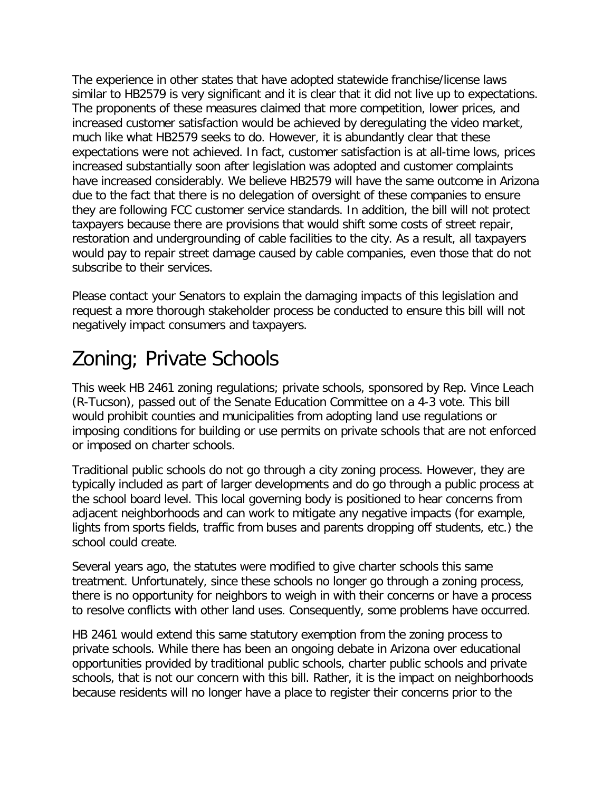The experience in other states that have adopted statewide franchise/license laws similar to HB2579 is very significant and it is clear that it did not live up to expectations. The proponents of these measures claimed that more competition, lower prices, and increased customer satisfaction would be achieved by deregulating the video market, much like what HB2579 seeks to do. However, it is abundantly clear that these expectations were not achieved. In fact, customer satisfaction is at all-time lows, prices increased substantially soon after legislation was adopted and customer complaints have increased considerably. We believe HB2579 will have the same outcome in Arizona due to the fact that there is no delegation of oversight of these companies to ensure they are following FCC customer service standards. In addition, the bill will not protect taxpayers because there are provisions that would shift some costs of street repair, restoration and undergrounding of cable facilities to the city. As a result, all taxpayers would pay to repair street damage caused by cable companies, even those that do not subscribe to their services.

Please contact your Senators to explain the damaging impacts of this legislation and request a more thorough stakeholder process be conducted to ensure this bill will not negatively impact consumers and taxpayers.

# Zoning; Private Schools

This week HB 2461 zoning regulations; private schools, sponsored by Rep. Vince Leach (R-Tucson), passed out of the Senate Education Committee on a 4-3 vote. This bill would prohibit counties and municipalities from adopting land use regulations or imposing conditions for building or use permits on private schools that are not enforced or imposed on charter schools.

Traditional public schools do not go through a city zoning process. However, they are typically included as part of larger developments and do go through a public process at the school board level. This local governing body is positioned to hear concerns from adjacent neighborhoods and can work to mitigate any negative impacts (for example, lights from sports fields, traffic from buses and parents dropping off students, etc.) the school could create.

Several years ago, the statutes were modified to give charter schools this same treatment. Unfortunately, since these schools no longer go through a zoning process, there is no opportunity for neighbors to weigh in with their concerns or have a process to resolve conflicts with other land uses. Consequently, some problems have occurred.

HB 2461 would extend this same statutory exemption from the zoning process to private schools. While there has been an ongoing debate in Arizona over educational opportunities provided by traditional public schools, charter public schools and private schools, that is not our concern with this bill. Rather, it is the impact on neighborhoods because residents will no longer have a place to register their concerns prior to the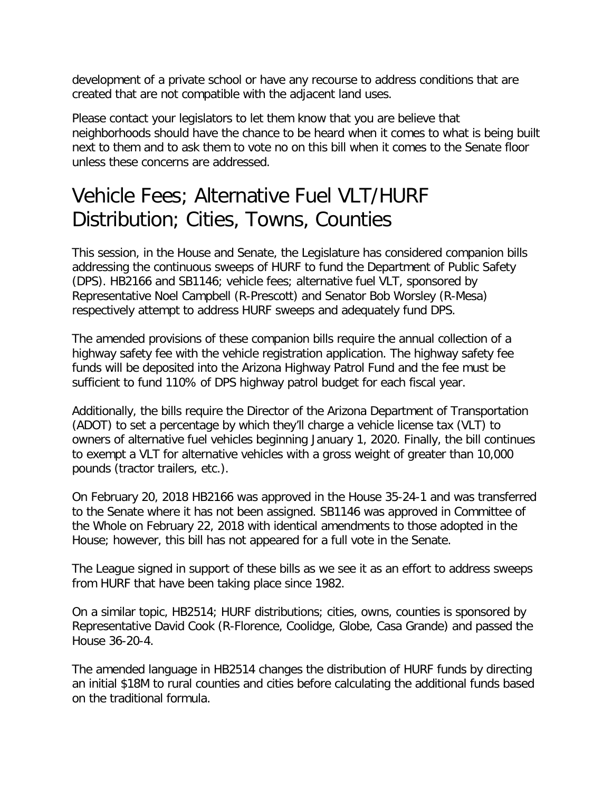development of a private school or have any recourse to address conditions that are created that are not compatible with the adjacent land uses.

Please contact your legislators to let them know that you are believe that neighborhoods should have the chance to be heard when it comes to what is being built next to them and to ask them to vote no on this bill when it comes to the Senate floor unless these concerns are addressed.

## Vehicle Fees; Alternative Fuel VLT/HURF Distribution; Cities, Towns, Counties

This session, in the House and Senate, the Legislature has considered companion bills addressing the continuous sweeps of HURF to fund the Department of Public Safety (DPS). HB2166 and SB1146; vehicle fees; alternative fuel VLT, sponsored by Representative Noel Campbell (R-Prescott) and Senator Bob Worsley (R-Mesa) respectively attempt to address HURF sweeps and adequately fund DPS.

The amended provisions of these companion bills require the annual collection of a highway safety fee with the vehicle registration application. The highway safety fee funds will be deposited into the Arizona Highway Patrol Fund and the fee must be sufficient to fund 110% of DPS highway patrol budget for each fiscal year.

Additionally, the bills require the Director of the Arizona Department of Transportation (ADOT) to set a percentage by which they'll charge a vehicle license tax (VLT) to owners of alternative fuel vehicles beginning January 1, 2020. Finally, the bill continues to exempt a VLT for alternative vehicles with a gross weight of greater than 10,000 pounds (tractor trailers, etc.).

On February 20, 2018 HB2166 was approved in the House 35-24-1 and was transferred to the Senate where it has not been assigned. SB1146 was approved in Committee of the Whole on February 22, 2018 with identical amendments to those adopted in the House; however, this bill has not appeared for a full vote in the Senate.

The League signed in support of these bills as we see it as an effort to address sweeps from HURF that have been taking place since 1982.

On a similar topic, HB2514; HURF distributions; cities, owns, counties is sponsored by Representative David Cook (R-Florence, Coolidge, Globe, Casa Grande) and passed the House 36-20-4.

The amended language in HB2514 changes the distribution of HURF funds by directing an initial \$18M to rural counties and cities before calculating the additional funds based on the traditional formula.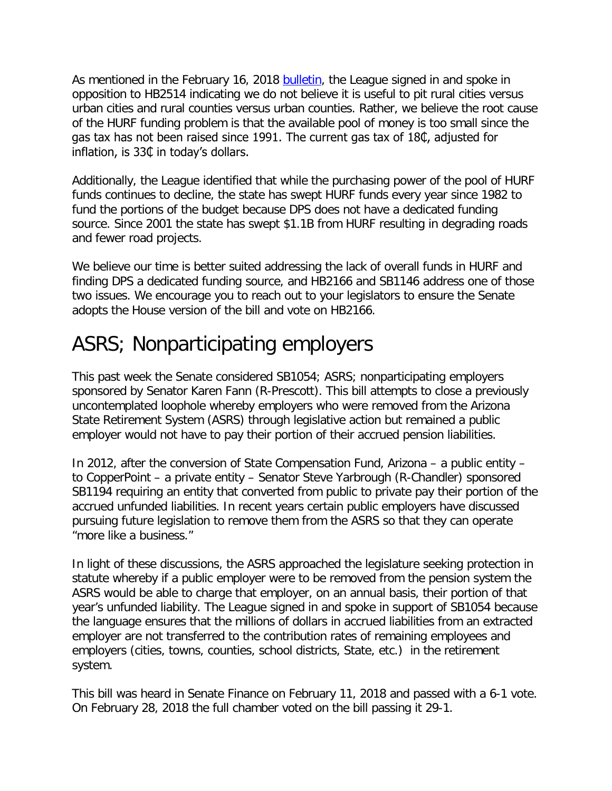As mentioned in the February 16, 2018 [bulletin,](http://azleague.org/DocumentCenter/View/9486) the League signed in and spoke in opposition to HB2514 indicating we do not believe it is useful to pit rural cities versus urban cities and rural counties versus urban counties. Rather, we believe the root cause of the HURF funding problem is that the available pool of money is too small since the gas tax has not been raised since 1991. The current gas tax of 18₵, adjusted for inflation, is 33₵ in today's dollars.

Additionally, the League identified that while the purchasing power of the pool of HURF funds continues to decline, the state has swept HURF funds every year since 1982 to fund the portions of the budget because DPS does not have a dedicated funding source. Since 2001 the state has swept \$1.1B from HURF resulting in degrading roads and fewer road projects.

We believe our time is better suited addressing the lack of overall funds in HURF and finding DPS a dedicated funding source, and HB2166 and SB1146 address one of those two issues. We encourage you to reach out to your legislators to ensure the Senate adopts the House version of the bill and vote on HB2166.

# ASRS; Nonparticipating employers

This past week the Senate considered SB1054; ASRS; nonparticipating employers sponsored by Senator Karen Fann (R-Prescott). This bill attempts to close a previously uncontemplated loophole whereby employers who were removed from the Arizona State Retirement System (ASRS) through legislative action but remained a public employer would not have to pay their portion of their accrued pension liabilities.

In 2012, after the conversion of State Compensation Fund, Arizona – a public entity – to CopperPoint – a private entity – Senator Steve Yarbrough (R-Chandler) sponsored SB1194 requiring an entity that converted from public to private pay their portion of the accrued unfunded liabilities. In recent years certain public employers have discussed pursuing future legislation to remove them from the ASRS so that they can operate "more like a business."

In light of these discussions, the ASRS approached the legislature seeking protection in statute whereby if a public employer were to be removed from the pension system the ASRS would be able to charge that employer, on an annual basis, their portion of that year's unfunded liability. The League signed in and spoke in support of SB1054 because the language ensures that the millions of dollars in accrued liabilities from an extracted employer are not transferred to the contribution rates of remaining employees and employers (cities, towns, counties, school districts, State, etc.) in the retirement system.

This bill was heard in Senate Finance on February 11, 2018 and passed with a 6-1 vote. On February 28, 2018 the full chamber voted on the bill passing it 29-1.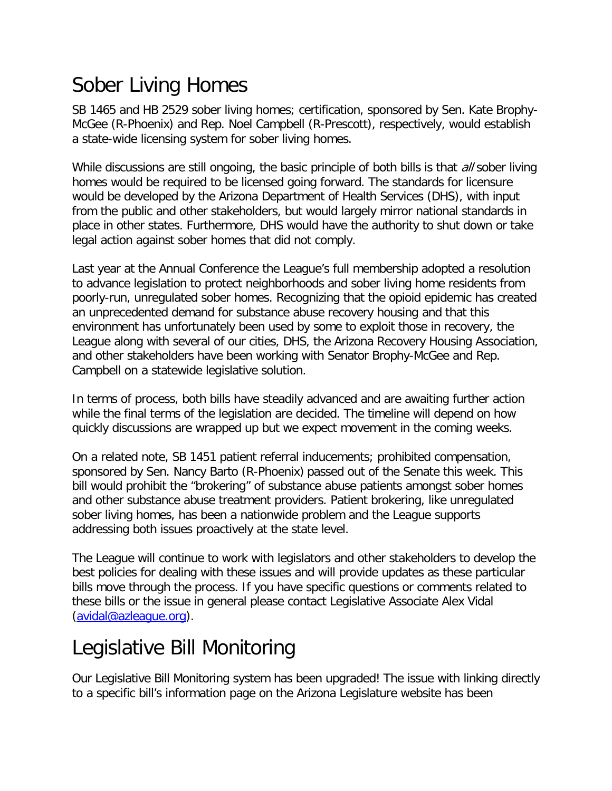# Sober Living Homes

SB 1465 and HB 2529 sober living homes; certification, sponsored by Sen. Kate Brophy-McGee (R-Phoenix) and Rep. Noel Campbell (R-Prescott), respectively, would establish a state-wide licensing system for sober living homes.

While discussions are still ongoing, the basic principle of both bills is that all sober living homes would be required to be licensed going forward. The standards for licensure would be developed by the Arizona Department of Health Services (DHS), with input from the public and other stakeholders, but would largely mirror national standards in place in other states. Furthermore, DHS would have the authority to shut down or take legal action against sober homes that did not comply.

Last year at the Annual Conference the League's full membership adopted a resolution to advance legislation to protect neighborhoods and sober living home residents from poorly-run, unregulated sober homes. Recognizing that the opioid epidemic has created an unprecedented demand for substance abuse recovery housing and that this environment has unfortunately been used by some to exploit those in recovery, the League along with several of our cities, DHS, the Arizona Recovery Housing Association, and other stakeholders have been working with Senator Brophy-McGee and Rep. Campbell on a statewide legislative solution.

In terms of process, both bills have steadily advanced and are awaiting further action while the final terms of the legislation are decided. The timeline will depend on how quickly discussions are wrapped up but we expect movement in the coming weeks.

On a related note, SB 1451 patient referral inducements; prohibited compensation, sponsored by Sen. Nancy Barto (R-Phoenix) passed out of the Senate this week. This bill would prohibit the "brokering" of substance abuse patients amongst sober homes and other substance abuse treatment providers. Patient brokering, like unregulated sober living homes, has been a nationwide problem and the League supports addressing both issues proactively at the state level.

The League will continue to work with legislators and other stakeholders to develop the best policies for dealing with these issues and will provide updates as these particular bills move through the process. If you have specific questions or comments related to these bills or the issue in general please contact Legislative Associate Alex Vidal [\(avidal@azleague.org\)](mailto:avidal@azleague.org).

## Legislative Bill Monitoring

Our Legislative Bill Monitoring system has been upgraded! The issue with linking directly to a specific bill's information page on the Arizona Legislature website has been